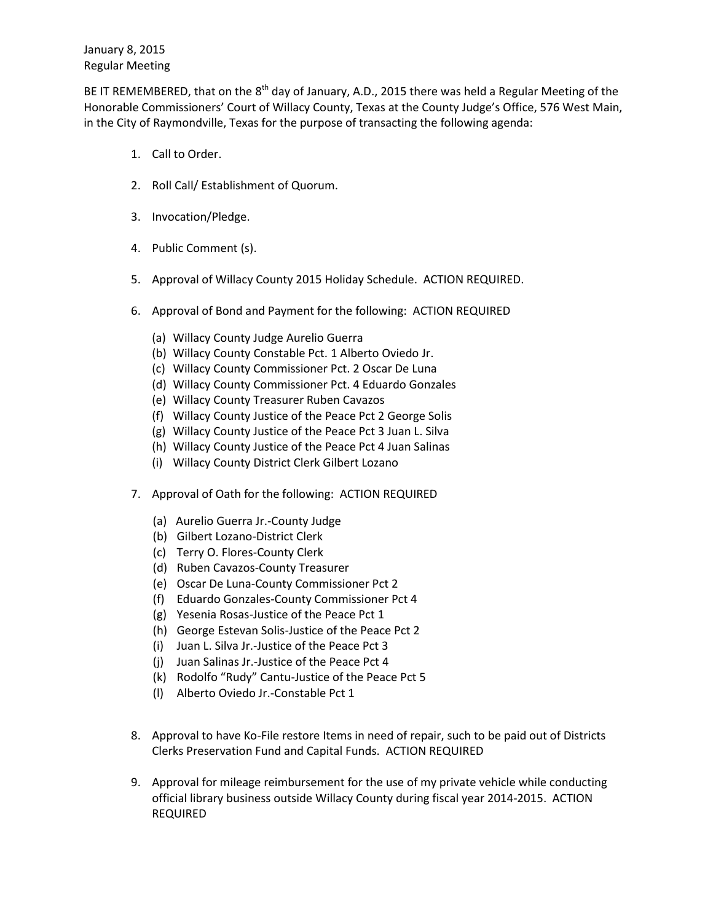BE IT REMEMBERED, that on the 8<sup>th</sup> day of January, A.D., 2015 there was held a Regular Meeting of the Honorable Commissioners' Court of Willacy County, Texas at the County Judge's Office, 576 West Main, in the City of Raymondville, Texas for the purpose of transacting the following agenda:

- 1. Call to Order.
- 2. Roll Call/ Establishment of Quorum.
- 3. Invocation/Pledge.
- 4. Public Comment (s).
- 5. Approval of Willacy County 2015 Holiday Schedule. ACTION REQUIRED.
- 6. Approval of Bond and Payment for the following: ACTION REQUIRED
	- (a) Willacy County Judge Aurelio Guerra
	- (b) Willacy County Constable Pct. 1 Alberto Oviedo Jr.
	- (c) Willacy County Commissioner Pct. 2 Oscar De Luna
	- (d) Willacy County Commissioner Pct. 4 Eduardo Gonzales
	- (e) Willacy County Treasurer Ruben Cavazos
	- (f) Willacy County Justice of the Peace Pct 2 George Solis
	- (g) Willacy County Justice of the Peace Pct 3 Juan L. Silva
	- (h) Willacy County Justice of the Peace Pct 4 Juan Salinas
	- (i) Willacy County District Clerk Gilbert Lozano
- 7. Approval of Oath for the following: ACTION REQUIRED
	- (a) Aurelio Guerra Jr.-County Judge
	- (b) Gilbert Lozano-District Clerk
	- (c) Terry O. Flores-County Clerk
	- (d) Ruben Cavazos-County Treasurer
	- (e) Oscar De Luna-County Commissioner Pct 2
	- (f) Eduardo Gonzales-County Commissioner Pct 4
	- (g) Yesenia Rosas-Justice of the Peace Pct 1
	- (h) George Estevan Solis-Justice of the Peace Pct 2
	- (i) Juan L. Silva Jr.-Justice of the Peace Pct 3
	- (j) Juan Salinas Jr.-Justice of the Peace Pct 4
	- (k) Rodolfo "Rudy" Cantu-Justice of the Peace Pct 5
	- (l) Alberto Oviedo Jr.-Constable Pct 1
- 8. Approval to have Ko-File restore Items in need of repair, such to be paid out of Districts Clerks Preservation Fund and Capital Funds. ACTION REQUIRED
- 9. Approval for mileage reimbursement for the use of my private vehicle while conducting official library business outside Willacy County during fiscal year 2014-2015. ACTION REQUIRED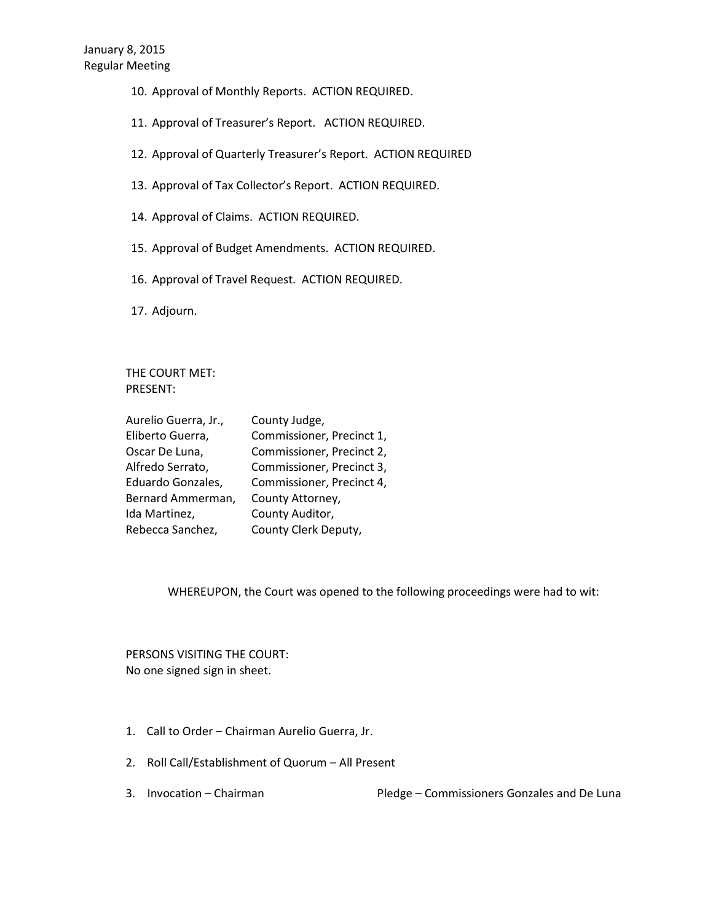- 10. Approval of Monthly Reports. ACTION REQUIRED.
- 11. Approval of Treasurer's Report. ACTION REQUIRED.
- 12. Approval of Quarterly Treasurer's Report. ACTION REQUIRED
- 13. Approval of Tax Collector's Report. ACTION REQUIRED.
- 14. Approval of Claims. ACTION REQUIRED.
- 15. Approval of Budget Amendments. ACTION REQUIRED.
- 16. Approval of Travel Request. ACTION REQUIRED.
- 17. Adjourn.

THE COURT MET: PRESENT:

| Aurelio Guerra, Jr., | County Judge,             |
|----------------------|---------------------------|
| Eliberto Guerra,     | Commissioner, Precinct 1, |
| Oscar De Luna,       | Commissioner, Precinct 2, |
| Alfredo Serrato,     | Commissioner, Precinct 3, |
| Eduardo Gonzales,    | Commissioner, Precinct 4, |
| Bernard Ammerman,    | County Attorney,          |
| Ida Martinez,        | County Auditor,           |
| Rebecca Sanchez,     | County Clerk Deputy,      |

WHEREUPON, the Court was opened to the following proceedings were had to wit:

PERSONS VISITING THE COURT: No one signed sign in sheet.

- 1. Call to Order Chairman Aurelio Guerra, Jr.
- 2. Roll Call/Establishment of Quorum All Present
- 

3. Invocation – Chairman Pledge – Commissioners Gonzales and De Luna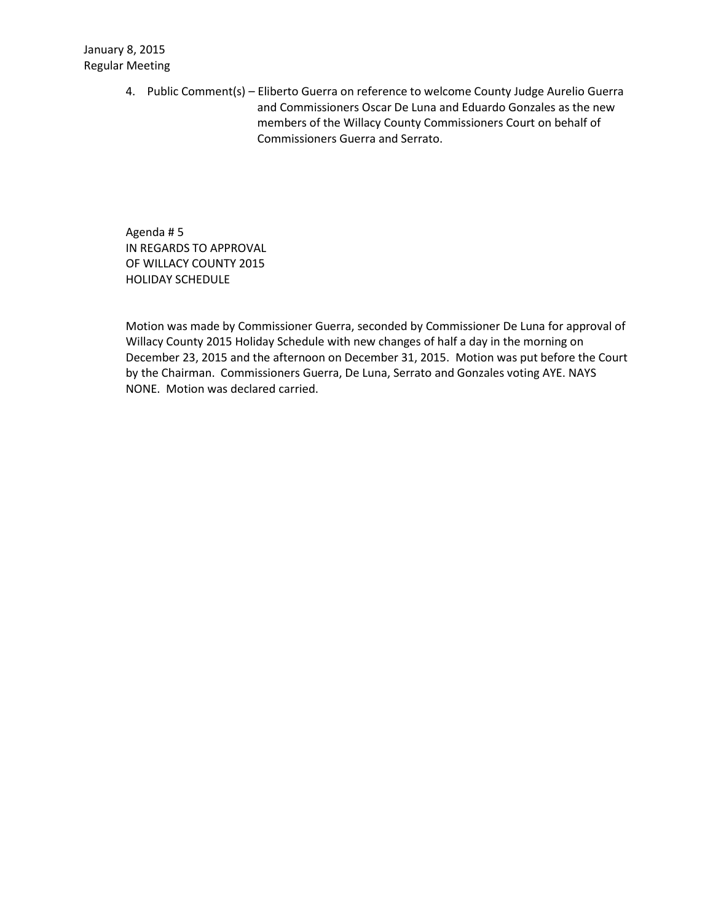4. Public Comment(s) – Eliberto Guerra on reference to welcome County Judge Aurelio Guerra and Commissioners Oscar De Luna and Eduardo Gonzales as the new members of the Willacy County Commissioners Court on behalf of Commissioners Guerra and Serrato.

Agenda # 5 IN REGARDS TO APPROVAL OF WILLACY COUNTY 2015 HOLIDAY SCHEDULE

Motion was made by Commissioner Guerra, seconded by Commissioner De Luna for approval of Willacy County 2015 Holiday Schedule with new changes of half a day in the morning on December 23, 2015 and the afternoon on December 31, 2015. Motion was put before the Court by the Chairman. Commissioners Guerra, De Luna, Serrato and Gonzales voting AYE. NAYS NONE. Motion was declared carried.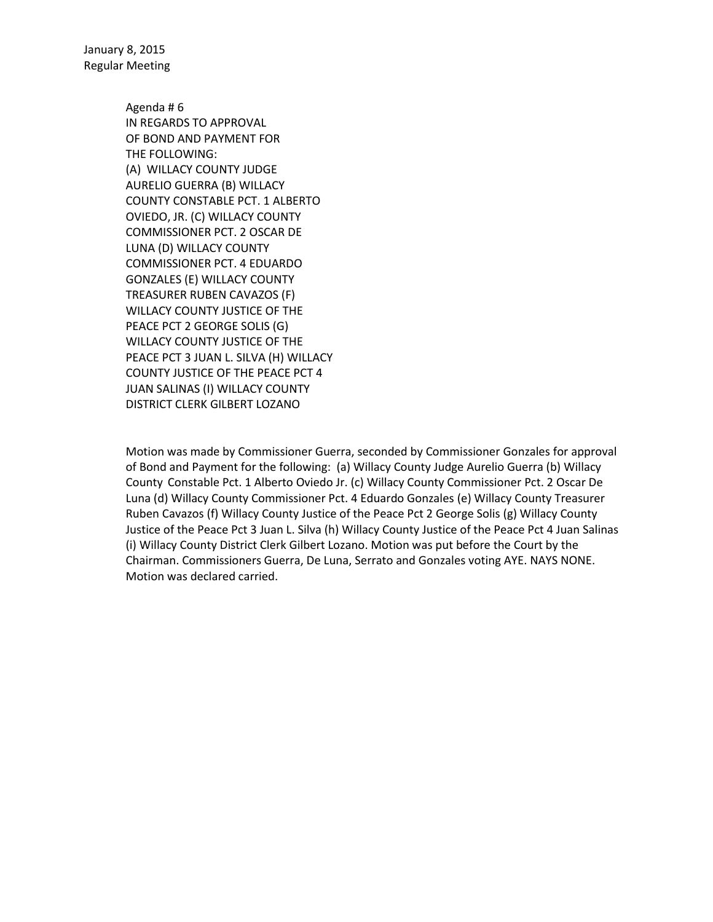> Agenda # 6 IN REGARDS TO APPROVAL OF BOND AND PAYMENT FOR THE FOLLOWING: (A) WILLACY COUNTY JUDGE AURELIO GUERRA (B) WILLACY COUNTY CONSTABLE PCT. 1 ALBERTO OVIEDO, JR. (C) WILLACY COUNTY COMMISSIONER PCT. 2 OSCAR DE LUNA (D) WILLACY COUNTY COMMISSIONER PCT. 4 EDUARDO GONZALES (E) WILLACY COUNTY TREASURER RUBEN CAVAZOS (F) WILLACY COUNTY JUSTICE OF THE PEACE PCT 2 GEORGE SOLIS (G) WILLACY COUNTY JUSTICE OF THE PEACE PCT 3 JUAN L. SILVA (H) WILLACY COUNTY JUSTICE OF THE PEACE PCT 4 JUAN SALINAS (I) WILLACY COUNTY DISTRICT CLERK GILBERT LOZANO

Motion was made by Commissioner Guerra, seconded by Commissioner Gonzales for approval of Bond and Payment for the following: (a) Willacy County Judge Aurelio Guerra (b) Willacy County Constable Pct. 1 Alberto Oviedo Jr. (c) Willacy County Commissioner Pct. 2 Oscar De Luna (d) Willacy County Commissioner Pct. 4 Eduardo Gonzales (e) Willacy County Treasurer Ruben Cavazos (f) Willacy County Justice of the Peace Pct 2 George Solis (g) Willacy County Justice of the Peace Pct 3 Juan L. Silva (h) Willacy County Justice of the Peace Pct 4 Juan Salinas (i) Willacy County District Clerk Gilbert Lozano. Motion was put before the Court by the Chairman. Commissioners Guerra, De Luna, Serrato and Gonzales voting AYE. NAYS NONE. Motion was declared carried.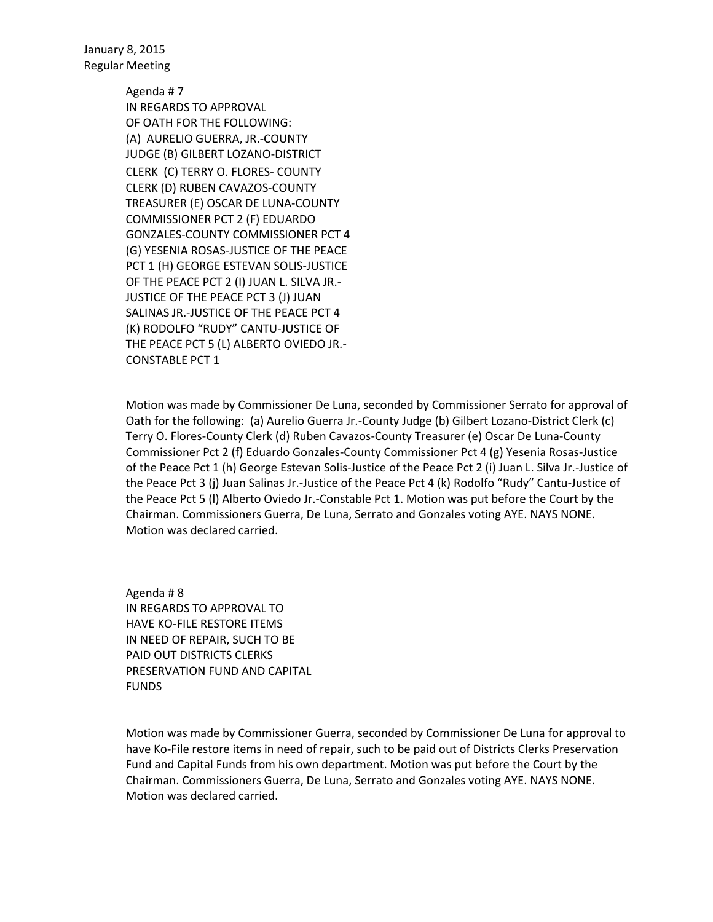> Agenda # 7 IN REGARDS TO APPROVAL OF OATH FOR THE FOLLOWING: (A) AURELIO GUERRA, JR.-COUNTY JUDGE (B) GILBERT LOZANO-DISTRICT CLERK (C) TERRY O. FLORES- COUNTY CLERK (D) RUBEN CAVAZOS-COUNTY TREASURER (E) OSCAR DE LUNA-COUNTY COMMISSIONER PCT 2 (F) EDUARDO GONZALES-COUNTY COMMISSIONER PCT 4 (G) YESENIA ROSAS-JUSTICE OF THE PEACE PCT 1 (H) GEORGE ESTEVAN SOLIS-JUSTICE OF THE PEACE PCT 2 (I) JUAN L. SILVA JR.- JUSTICE OF THE PEACE PCT 3 (J) JUAN SALINAS JR.-JUSTICE OF THE PEACE PCT 4 (K) RODOLFO "RUDY" CANTU-JUSTICE OF THE PEACE PCT 5 (L) ALBERTO OVIEDO JR.- CONSTABLE PCT 1

Motion was made by Commissioner De Luna, seconded by Commissioner Serrato for approval of Oath for the following: (a) Aurelio Guerra Jr.-County Judge (b) Gilbert Lozano-District Clerk (c) Terry O. Flores-County Clerk (d) Ruben Cavazos-County Treasurer (e) Oscar De Luna-County Commissioner Pct 2 (f) Eduardo Gonzales-County Commissioner Pct 4 (g) Yesenia Rosas-Justice of the Peace Pct 1 (h) George Estevan Solis-Justice of the Peace Pct 2 (i) Juan L. Silva Jr.-Justice of the Peace Pct 3 (j) Juan Salinas Jr.-Justice of the Peace Pct 4 (k) Rodolfo "Rudy" Cantu-Justice of the Peace Pct 5 (l) Alberto Oviedo Jr.-Constable Pct 1. Motion was put before the Court by the Chairman. Commissioners Guerra, De Luna, Serrato and Gonzales voting AYE. NAYS NONE. Motion was declared carried.

Agenda # 8 IN REGARDS TO APPROVAL TO HAVE KO-FILE RESTORE ITEMS IN NEED OF REPAIR, SUCH TO BE PAID OUT DISTRICTS CLERKS PRESERVATION FUND AND CAPITAL FUNDS

Motion was made by Commissioner Guerra, seconded by Commissioner De Luna for approval to have Ko-File restore items in need of repair, such to be paid out of Districts Clerks Preservation Fund and Capital Funds from his own department. Motion was put before the Court by the Chairman. Commissioners Guerra, De Luna, Serrato and Gonzales voting AYE. NAYS NONE. Motion was declared carried.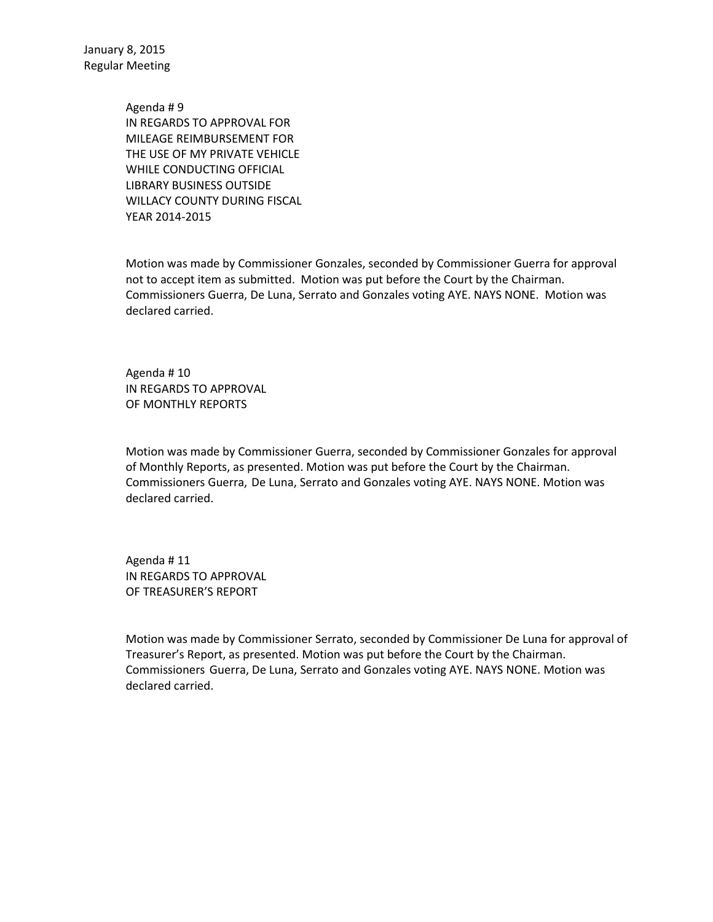> Agenda # 9 IN REGARDS TO APPROVAL FOR MILEAGE REIMBURSEMENT FOR THE USE OF MY PRIVATE VEHICLE WHILE CONDUCTING OFFICIAL LIBRARY BUSINESS OUTSIDE WILLACY COUNTY DURING FISCAL YEAR 2014-2015

Motion was made by Commissioner Gonzales, seconded by Commissioner Guerra for approval not to accept item as submitted. Motion was put before the Court by the Chairman. Commissioners Guerra, De Luna, Serrato and Gonzales voting AYE. NAYS NONE. Motion was declared carried.

Agenda # 10 IN REGARDS TO APPROVAL OF MONTHLY REPORTS

Motion was made by Commissioner Guerra, seconded by Commissioner Gonzales for approval of Monthly Reports, as presented. Motion was put before the Court by the Chairman. Commissioners Guerra, De Luna, Serrato and Gonzales voting AYE. NAYS NONE. Motion was declared carried.

Agenda # 11 IN REGARDS TO APPROVAL OF TREASURER'S REPORT

Motion was made by Commissioner Serrato, seconded by Commissioner De Luna for approval of Treasurer's Report, as presented. Motion was put before the Court by the Chairman. Commissioners Guerra, De Luna, Serrato and Gonzales voting AYE. NAYS NONE. Motion was declared carried.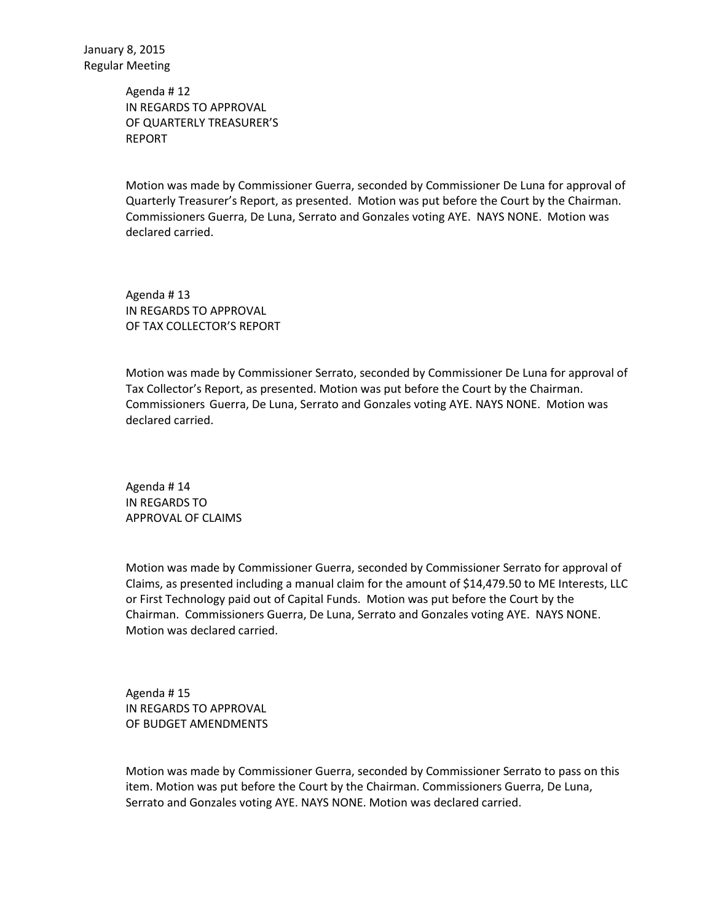> Agenda # 12 IN REGARDS TO APPROVAL OF QUARTERLY TREASURER'S REPORT

Motion was made by Commissioner Guerra, seconded by Commissioner De Luna for approval of Quarterly Treasurer's Report, as presented. Motion was put before the Court by the Chairman. Commissioners Guerra, De Luna, Serrato and Gonzales voting AYE. NAYS NONE. Motion was declared carried.

Agenda # 13 IN REGARDS TO APPROVAL OF TAX COLLECTOR'S REPORT

Motion was made by Commissioner Serrato, seconded by Commissioner De Luna for approval of Tax Collector's Report, as presented. Motion was put before the Court by the Chairman. Commissioners Guerra, De Luna, Serrato and Gonzales voting AYE. NAYS NONE. Motion was declared carried.

Agenda # 14 IN REGARDS TO APPROVAL OF CLAIMS

Motion was made by Commissioner Guerra, seconded by Commissioner Serrato for approval of Claims, as presented including a manual claim for the amount of \$14,479.50 to ME Interests, LLC or First Technology paid out of Capital Funds. Motion was put before the Court by the Chairman. Commissioners Guerra, De Luna, Serrato and Gonzales voting AYE. NAYS NONE. Motion was declared carried.

Agenda # 15 IN REGARDS TO APPROVAL OF BUDGET AMENDMENTS

Motion was made by Commissioner Guerra, seconded by Commissioner Serrato to pass on this item. Motion was put before the Court by the Chairman. Commissioners Guerra, De Luna, Serrato and Gonzales voting AYE. NAYS NONE. Motion was declared carried.